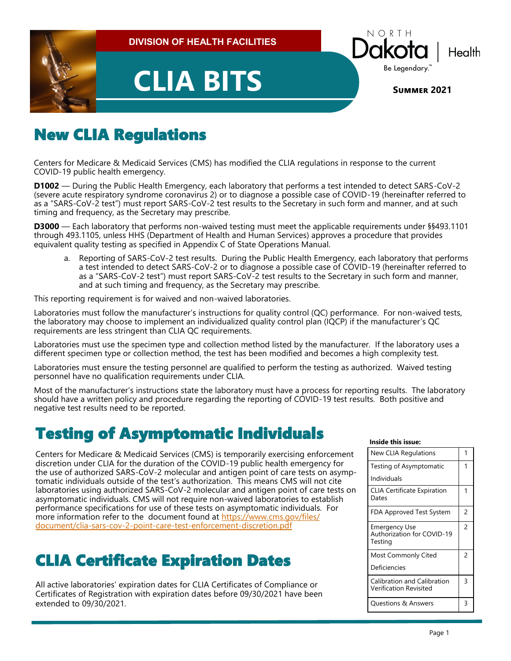

# New CLIA Regulations

Centers for Medicare & Medicaid Services (CMS) has modified the CLIA regulations in response to the current COVID-19 public health emergency.

**D1002** — During the Public Health Emergency, each laboratory that performs a test intended to detect SARS-CoV-2 (severe acute respiratory syndrome coronavirus 2) or to diagnose a possible case of COVID-19 (hereinafter referred to as a "SARS-CoV-2 test") must report SARS-CoV-2 test results to the Secretary in such form and manner, and at such timing and frequency, as the Secretary may prescribe.

**D3000** — Each laboratory that performs non-waived testing must meet the applicable requirements under §§493.1101 through 493.1105, unless HHS (Department of Health and Human Services) approves a procedure that provides equivalent quality testing as specified in Appendix C of State Operations Manual.

a. Reporting of SARS-CoV-2 test results. During the Public Health Emergency, each laboratory that performs a test intended to detect SARS-CoV-2 or to diagnose a possible case of COVID-19 (hereinafter referred to as a "SARS-CoV-2 test") must report SARS-CoV-2 test results to the Secretary in such form and manner, and at such timing and frequency, as the Secretary may prescribe.

This reporting requirement is for waived and non-waived laboratories.

Laboratories must follow the manufacturer's instructions for quality control (QC) performance. For non-waived tests, the laboratory may choose to implement an individualized quality control plan (IQCP) if the manufacturer's QC requirements are less stringent than CLIA QC requirements.

Laboratories must use the specimen type and collection method listed by the manufacturer. If the laboratory uses a different specimen type or collection method, the test has been modified and becomes a high complexity test.

Laboratories must ensure the testing personnel are qualified to perform the testing as authorized. Waived testing personnel have no qualification requirements under CLIA.

Most of the manufacturer's instructions state the laboratory must have a process for reporting results. The laboratory should have a written policy and procedure regarding the reporting of COVID-19 test results. Both positive and negative test results need to be reported.

## Testing of Asymptomatic Individuals

Centers for Medicare & Medicaid Services (CMS) is temporarily exercising enforcement discretion under CLIA for the duration of the COVID-19 public health emergency for the use of authorized SARS-CoV-2 molecular and antigen point of care tests on asymptomatic individuals outside of the test's authorization. This means CMS will not cite laboratories using authorized SARS-CoV-2 molecular and antigen point of care tests on asymptomatic individuals. CMS will not require non-waived laboratories to establish performance specifications for use of these tests on asymptomatic individuals. For more information refer to the document found at [https://www.cms.gov/files/](https://www.cms.gov/files/document/clia-sars-cov-2-point-care-test-enforcement-discretion.pdf) [document/clia](https://www.cms.gov/files/document/clia-sars-cov-2-point-care-test-enforcement-discretion.pdf)-sars-cov-2-point-care-test-enforcement-discretion.pdf

## CLIA Certificate Expiration Dates

All active laboratories' expiration dates for CLIA Certificates of Compliance or Certificates of Registration with expiration dates before 09/30/2021 have been extended to 09/30/2021.

#### **Inside this issue:**

| <b>New CLIA Regulations</b>                            |                |
|--------------------------------------------------------|----------------|
| Testing of Asymptomatic                                | 1              |
| Individuals                                            |                |
| <b>CLIA Certificate Expiration</b><br>Dates            | 1              |
| FDA Approved Test System                               | 2              |
| Emergency Use<br>Authorization for COVID-19<br>Testina | $\overline{2}$ |
| Most Commonly Cited                                    | 2              |
| Deficiencies                                           |                |
| Calibration and Calibration<br>Verification Revisited  | 3              |
| <b>Questions &amp; Answers</b>                         | ς              |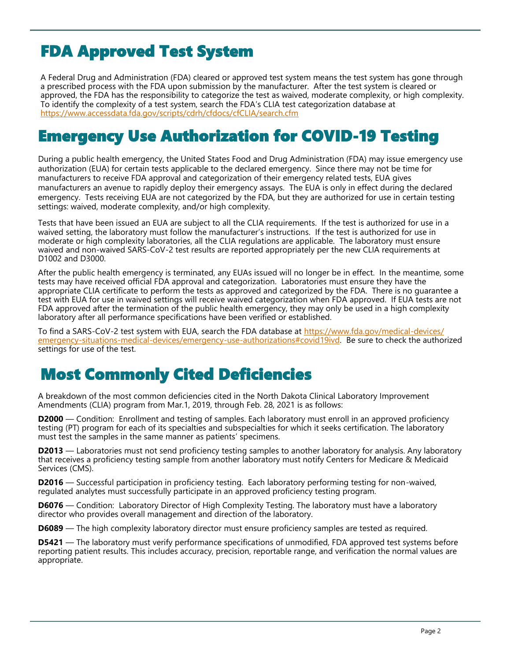# FDA Approved Test System

A Federal Drug and Administration (FDA) cleared or approved test system means the test system has gone through a prescribed process with the FDA upon submission by the manufacturer. After the test system is cleared or approved, the FDA has the responsibility to categorize the test as waived, moderate complexity, or high complexity. To identify the complexity of a test system, search the FDA's CLIA test categorization database at <https://www.accessdata.fda.gov/scripts/cdrh/cfdocs/cfCLIA/search.cfm>

## Emergency Use Authorization for COVID-19 Testing

During a public health emergency, the United States Food and Drug Administration (FDA) may issue emergency use authorization (EUA) for certain tests applicable to the declared emergency. Since there may not be time for manufacturers to receive FDA approval and categorization of their emergency related tests, EUA gives manufacturers an avenue to rapidly deploy their emergency assays. The EUA is only in effect during the declared emergency. Tests receiving EUA are not categorized by the FDA, but they are authorized for use in certain testing settings: waived, moderate complexity, and/or high complexity.

Tests that have been issued an EUA are subject to all the CLIA requirements. If the test is authorized for use in a waived setting, the laboratory must follow the manufacturer's instructions. If the test is authorized for use in moderate or high complexity laboratories, all the CLIA regulations are applicable. The laboratory must ensure waived and non-waived SARS-CoV-2 test results are reported appropriately per the new CLIA requirements at D1002 and D3000.

After the public health emergency is terminated, any EUAs issued will no longer be in effect. In the meantime, some tests may have received official FDA approval and categorization. Laboratories must ensure they have the appropriate CLIA certificate to perform the tests as approved and categorized by the FDA. There is no guarantee a test with EUA for use in waived settings will receive waived categorization when FDA approved. If EUA tests are not FDA approved after the termination of the public health emergency, they may only be used in a high complexity laboratory after all performance specifications have been verified or established.

To find a SARS-CoV-2 test system with EUA, search the FDA database at [https://www.fda.gov/medical](https://www.fda.gov/medical-devices/emergency-situations-medical-devices/emergency-use-authorizations#covid19ivd)-devices/ emergency-situations-medical-devices/emergency-use-[authorizations#covid19ivd.](https://www.fda.gov/medical-devices/emergency-situations-medical-devices/emergency-use-authorizations#covid19ivd) Be sure to check the authorized settings for use of the test.

## Most Commonly Cited Deficiencies

A breakdown of the most common deficiencies cited in the North Dakota Clinical Laboratory Improvement Amendments (CLIA) program from Mar.1, 2019, through Feb. 28, 2021 is as follows:

**D2000** — Condition: Enrollment and testing of samples. Each laboratory must enroll in an approved proficiency testing (PT) program for each of its specialties and subspecialties for which it seeks certification. The laboratory must test the samples in the same manner as patients' specimens.

**D2013** — Laboratories must not send proficiency testing samples to another laboratory for analysis. Any laboratory that receives a proficiency testing sample from another laboratory must notify Centers for Medicare & Medicaid Services (CMS).

**D2016** — Successful participation in proficiency testing. Each laboratory performing testing for non-waived, regulated analytes must successfully participate in an approved proficiency testing program.

**D6076** — Condition: Laboratory Director of High Complexity Testing. The laboratory must have a laboratory director who provides overall management and direction of the laboratory.

**D6089** — The high complexity laboratory director must ensure proficiency samples are tested as required.

**D5421** — The laboratory must verify performance specifications of unmodified, FDA approved test systems before reporting patient results. This includes accuracy, precision, reportable range, and verification the normal values are appropriate.